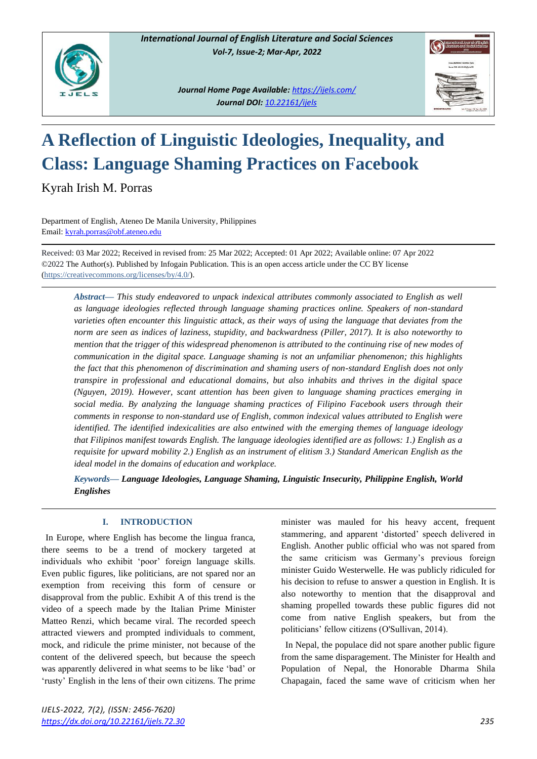

*Journal Home Page Available: <https://ijels.com/> Journal DOI: 10.22161/ijels*



# **A Reflection of Linguistic Ideologies, Inequality, and Class: Language Shaming Practices on Facebook**

Kyrah Irish M. Porras

Department of English, Ateneo De Manila University, Philippines Email[: kyrah.porras@obf.ateneo.edu](mailto:kyrah.porras@obf.ateneo.edu)

Received: 03 Mar 2022; Received in revised from: 25 Mar 2022; Accepted: 01 Apr 2022; Available online: 07 Apr 2022 ©2022 The Author(s). Published by Infogain Publication. This is an open access article under the CC BY license [\(https://creativecommons.org/licenses/by/4.0/\)](https://creativecommons.org/licenses/by/4.0/).

*Abstract***—** *This study endeavored to unpack indexical attributes commonly associated to English as well as language ideologies reflected through language shaming practices online. Speakers of non-standard varieties often encounter this linguistic attack, as their ways of using the language that deviates from the norm are seen as indices of laziness, stupidity, and backwardness (Piller, 2017). It is also noteworthy to mention that the trigger of this widespread phenomenon is attributed to the continuing rise of new modes of communication in the digital space. Language shaming is not an unfamiliar phenomenon; this highlights the fact that this phenomenon of discrimination and shaming users of non-standard English does not only transpire in professional and educational domains, but also inhabits and thrives in the digital space (Nguyen, 2019). However, scant attention has been given to language shaming practices emerging in social media. By analyzing the language shaming practices of Filipino Facebook users through their comments in response to non-standard use of English, common indexical values attributed to English were identified. The identified indexicalities are also entwined with the emerging themes of language ideology that Filipinos manifest towards English. The language ideologies identified are as follows: 1.) English as a requisite for upward mobility 2.) English as an instrument of elitism 3.) Standard American English as the ideal model in the domains of education and workplace.*

*Keywords***—** *Language Ideologies, Language Shaming, Linguistic Insecurity, Philippine English, World Englishes* 

# **I. INTRODUCTION**

In Europe, where English has become the lingua franca, there seems to be a trend of mockery targeted at individuals who exhibit 'poor' foreign language skills. Even public figures, like politicians, are not spared nor an exemption from receiving this form of censure or disapproval from the public. Exhibit A of this trend is the video of a speech made by the Italian Prime Minister Matteo Renzi, which became viral. The recorded speech attracted viewers and prompted individuals to comment, mock, and ridicule the prime minister, not because of the content of the delivered speech, but because the speech was apparently delivered in what seems to be like 'bad' or 'rusty' English in the lens of their own citizens. The prime

minister was mauled for his heavy accent, frequent stammering, and apparent 'distorted' speech delivered in English. Another public official who was not spared from the same criticism was Germany's previous foreign minister Guido Westerwelle. He was publicly ridiculed for his decision to refuse to answer a question in English. It is also noteworthy to mention that the disapproval and shaming propelled towards these public figures did not come from native English speakers, but from the politicians' fellow citizens (O'Sullivan, 2014).

In Nepal, the populace did not spare another public figure from the same disparagement. The Minister for Health and Population of Nepal, the Honorable Dharma Shila Chapagain, faced the same wave of criticism when her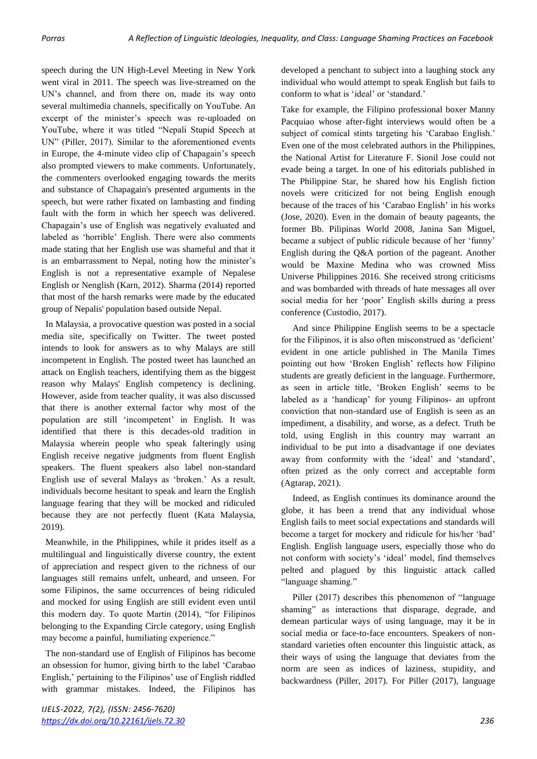speech during the UN High-Level Meeting in New York went viral in 2011. The speech was live-streamed on the UN's channel, and from there on, made its way onto several multimedia channels, specifically on YouTube. An excerpt of the minister's speech was re-uploaded on YouTube, where it was titled "Nepali Stupid Speech at UN" (Piller, 2017). Similar to the aforementioned events in Europe, the 4-minute video clip of Chapagain's speech also prompted viewers to make comments. Unfortunately, the commenters overlooked engaging towards the merits and substance of Chapagain's presented arguments in the speech, but were rather fixated on lambasting and finding fault with the form in which her speech was delivered. Chapagain's use of English was negatively evaluated and labeled as 'horrible' English. There were also comments made stating that her English use was shameful and that it is an embarrassment to Nepal, noting how the minister's English is not a representative example of Nepalese English or Nenglish (Karn, 2012). Sharma (2014) reported that most of the harsh remarks were made by the educated group of Nepalis' population based outside Nepal.

In Malaysia, a provocative question was posted in a social media site, specifically on Twitter. The tweet posted intends to look for answers as to why Malays are still incompetent in English. The posted tweet has launched an attack on English teachers, identifying them as the biggest reason why Malays' English competency is declining. However, aside from teacher quality, it was also discussed that there is another external factor why most of the population are still 'incompetent' in English. It was identified that there is this decades-old tradition in Malaysia wherein people who speak falteringly using English receive negative judgments from fluent English speakers. The fluent speakers also label non-standard English use of several Malays as 'broken.' As a result, individuals become hesitant to speak and learn the English language fearing that they will be mocked and ridiculed because they are not perfectly fluent (Kata Malaysia, 2019).

Meanwhile, in the Philippines, while it prides itself as a multilingual and linguistically diverse country, the extent of appreciation and respect given to the richness of our languages still remains unfelt, unheard, and unseen. For some Filipinos, the same occurrences of being ridiculed and mocked for using English are still evident even until this modern day. To quote Martin (2014), "for Filipinos belonging to the Expanding Circle category, using English may become a painful, humiliating experience."

The non-standard use of English of Filipinos has become an obsession for humor, giving birth to the label 'Carabao English,' pertaining to the Filipinos' use of English riddled with grammar mistakes. Indeed, the Filipinos has developed a penchant to subject into a laughing stock any individual who would attempt to speak English but fails to conform to what is 'ideal' or 'standard.'

Take for example, the Filipino professional boxer Manny Pacquiao whose after-fight interviews would often be a subject of comical stints targeting his 'Carabao English.' Even one of the most celebrated authors in the Philippines, the National Artist for Literature F. Sionil Jose could not evade being a target. In one of his editorials published in The Philippine Star, he shared how his English fiction novels were criticized for not being English enough because of the traces of his 'Carabao English' in his works (Jose, 2020). Even in the domain of beauty pageants, the former Bb. Pilipinas World 2008, Janina San Miguel, became a subject of public ridicule because of her 'funny' English during the Q&A portion of the pageant. Another would be Maxine Medina who was crowned Miss Universe Philippines 2016. She received strong criticisms and was bombarded with threads of hate messages all over social media for her 'poor' English skills during a press conference (Custodio, 2017).

 And since Philippine English seems to be a spectacle for the Filipinos, it is also often misconstrued as 'deficient' evident in one article published in The Manila Times pointing out how 'Broken English' reflects how Filipino students are greatly deficient in the language. Furthermore, as seen in article title, 'Broken English' seems to be labeled as a 'handicap' for young Filipinos- an upfront conviction that non-standard use of English is seen as an impediment, a disability, and worse, as a defect. Truth be told, using English in this country may warrant an individual to be put into a disadvantage if one deviates away from conformity with the 'ideal' and 'standard', often prized as the only correct and acceptable form (Agtarap, 2021).

 Indeed, as English continues its dominance around the globe, it has been a trend that any individual whose English fails to meet social expectations and standards will become a target for mockery and ridicule for his/her 'bad' English. English language users, especially those who do not conform with society's 'ideal' model, find themselves pelted and plagued by this linguistic attack called "language shaming."

 Piller (2017) describes this phenomenon of "language shaming" as interactions that disparage, degrade, and demean particular ways of using language, may it be in social media or face-to-face encounters. Speakers of nonstandard varieties often encounter this linguistic attack, as their ways of using the language that deviates from the norm are seen as indices of laziness, stupidity, and backwardness (Piller, 2017). For Piller (2017), language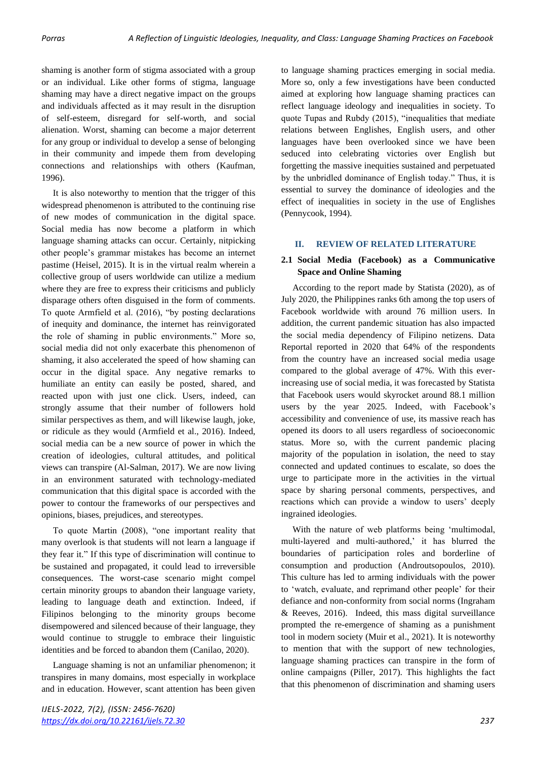shaming is another form of stigma associated with a group or an individual. Like other forms of stigma, language shaming may have a direct negative impact on the groups and individuals affected as it may result in the disruption of self-esteem, disregard for self-worth, and social alienation. Worst, shaming can become a major deterrent for any group or individual to develop a sense of belonging in their community and impede them from developing connections and relationships with others (Kaufman, 1996).

 It is also noteworthy to mention that the trigger of this widespread phenomenon is attributed to the continuing rise of new modes of communication in the digital space. Social media has now become a platform in which language shaming attacks can occur. Certainly, nitpicking other people's grammar mistakes has become an internet pastime (Heisel, 2015). It is in the virtual realm wherein a collective group of users worldwide can utilize a medium where they are free to express their criticisms and publicly disparage others often disguised in the form of comments. To quote Armfield et al. (2016), "by posting declarations of inequity and dominance, the internet has reinvigorated the role of shaming in public environments." More so, social media did not only exacerbate this phenomenon of shaming, it also accelerated the speed of how shaming can occur in the digital space. Any negative remarks to humiliate an entity can easily be posted, shared, and reacted upon with just one click. Users, indeed, can strongly assume that their number of followers hold similar perspectives as them, and will likewise laugh, joke, or ridicule as they would (Armfield et al., 2016). Indeed, social media can be a new source of power in which the creation of ideologies, cultural attitudes, and political views can transpire (Al-Salman, 2017). We are now living in an environment saturated with technology-mediated communication that this digital space is accorded with the power to contour the frameworks of our perspectives and opinions, biases, prejudices, and stereotypes.

 To quote Martin (2008), "one important reality that many overlook is that students will not learn a language if they fear it." If this type of discrimination will continue to be sustained and propagated, it could lead to irreversible consequences. The worst-case scenario might compel certain minority groups to abandon their language variety, leading to language death and extinction. Indeed, if Filipinos belonging to the minority groups become disempowered and silenced because of their language, they would continue to struggle to embrace their linguistic identities and be forced to abandon them (Canilao, 2020).

 Language shaming is not an unfamiliar phenomenon; it transpires in many domains, most especially in workplace and in education. However, scant attention has been given

to language shaming practices emerging in social media. More so, only a few investigations have been conducted aimed at exploring how language shaming practices can reflect language ideology and inequalities in society. To quote Tupas and Rubdy (2015), "inequalities that mediate relations between Englishes, English users, and other languages have been overlooked since we have been seduced into celebrating victories over English but forgetting the massive inequities sustained and perpetuated by the unbridled dominance of English today." Thus, it is essential to survey the dominance of ideologies and the effect of inequalities in society in the use of Englishes (Pennycook, 1994).

#### **II. REVIEW OF RELATED LITERATURE**

#### **2.1 Social Media (Facebook) as a Communicative Space and Online Shaming**

 According to the report made by Statista (2020), as of July 2020, the Philippines ranks 6th among the top users of Facebook worldwide with around 76 million users. In addition, the current pandemic situation has also impacted the social media dependency of Filipino netizens. Data Reportal reported in 2020 that 64% of the respondents from the country have an increased social media usage compared to the global average of 47%. With this everincreasing use of social media, it was forecasted by Statista that Facebook users would skyrocket around 88.1 million users by the year 2025. Indeed, with Facebook's accessibility and convenience of use, its massive reach has opened its doors to all users regardless of socioeconomic status. More so, with the current pandemic placing majority of the population in isolation, the need to stay connected and updated continues to escalate, so does the urge to participate more in the activities in the virtual space by sharing personal comments, perspectives, and reactions which can provide a window to users' deeply ingrained ideologies.

 With the nature of web platforms being 'multimodal, multi-layered and multi-authored,' it has blurred the boundaries of participation roles and borderline of consumption and production (Androutsopoulos, 2010). This culture has led to arming individuals with the power to 'watch, evaluate, and reprimand other people' for their defiance and non-conformity from social norms (Ingraham & Reeves, 2016). Indeed, this mass digital surveillance prompted the re-emergence of shaming as a punishment tool in modern society (Muir et al., 2021). It is noteworthy to mention that with the support of new technologies, language shaming practices can transpire in the form of online campaigns (Piller, 2017). This highlights the fact that this phenomenon of discrimination and shaming users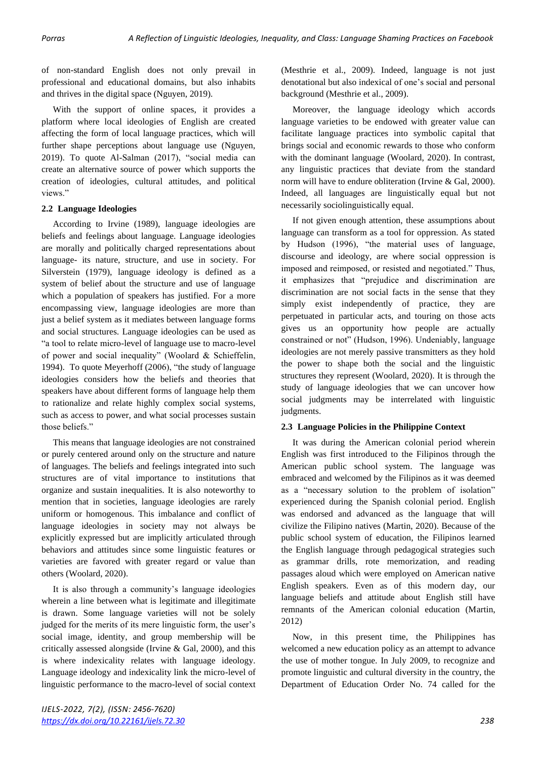of non-standard English does not only prevail in professional and educational domains, but also inhabits and thrives in the digital space (Nguyen, 2019).

 With the support of online spaces, it provides a platform where local ideologies of English are created affecting the form of local language practices, which will further shape perceptions about language use (Nguyen, 2019). To quote Al-Salman (2017), "social media can create an alternative source of power which supports the creation of ideologies, cultural attitudes, and political views."

#### **2.2 Language Ideologies**

 According to Irvine (1989), language ideologies are beliefs and feelings about language. Language ideologies are morally and politically charged representations about language- its nature, structure, and use in society. For Silverstein (1979), language ideology is defined as a system of belief about the structure and use of language which a population of speakers has justified. For a more encompassing view, language ideologies are more than just a belief system as it mediates between language forms and social structures. Language ideologies can be used as "a tool to relate micro-level of language use to macro-level of power and social inequality" (Woolard & Schieffelin, 1994). To quote Meyerhoff (2006), "the study of language ideologies considers how the beliefs and theories that speakers have about different forms of language help them to rationalize and relate highly complex social systems, such as access to power, and what social processes sustain those beliefs."

 This means that language ideologies are not constrained or purely centered around only on the structure and nature of languages. The beliefs and feelings integrated into such structures are of vital importance to institutions that organize and sustain inequalities. It is also noteworthy to mention that in societies, language ideologies are rarely uniform or homogenous. This imbalance and conflict of language ideologies in society may not always be explicitly expressed but are implicitly articulated through behaviors and attitudes since some linguistic features or varieties are favored with greater regard or value than others (Woolard, 2020).

 It is also through a community's language ideologies wherein a line between what is legitimate and illegitimate is drawn. Some language varieties will not be solely judged for the merits of its mere linguistic form, the user's social image, identity, and group membership will be critically assessed alongside (Irvine & Gal, 2000), and this is where indexicality relates with language ideology. Language ideology and indexicality link the micro-level of linguistic performance to the macro-level of social context (Mesthrie et al., 2009). Indeed, language is not just denotational but also indexical of one's social and personal background (Mesthrie et al., 2009).

 Moreover, the language ideology which accords language varieties to be endowed with greater value can facilitate language practices into symbolic capital that brings social and economic rewards to those who conform with the dominant language (Woolard, 2020). In contrast, any linguistic practices that deviate from the standard norm will have to endure obliteration (Irvine & Gal, 2000). Indeed, all languages are linguistically equal but not necessarily sociolinguistically equal.

 If not given enough attention, these assumptions about language can transform as a tool for oppression. As stated by Hudson (1996), "the material uses of language, discourse and ideology, are where social oppression is imposed and reimposed, or resisted and negotiated." Thus, it emphasizes that "prejudice and discrimination are discrimination are not social facts in the sense that they simply exist independently of practice, they are perpetuated in particular acts, and touring on those acts gives us an opportunity how people are actually constrained or not" (Hudson, 1996). Undeniably, language ideologies are not merely passive transmitters as they hold the power to shape both the social and the linguistic structures they represent (Woolard, 2020). It is through the study of language ideologies that we can uncover how social judgments may be interrelated with linguistic judgments.

## **2.3 Language Policies in the Philippine Context**

 It was during the American colonial period wherein English was first introduced to the Filipinos through the American public school system. The language was embraced and welcomed by the Filipinos as it was deemed as a "necessary solution to the problem of isolation" experienced during the Spanish colonial period. English was endorsed and advanced as the language that will civilize the Filipino natives (Martin, 2020). Because of the public school system of education, the Filipinos learned the English language through pedagogical strategies such as grammar drills, rote memorization, and reading passages aloud which were employed on American native English speakers. Even as of this modern day, our language beliefs and attitude about English still have remnants of the American colonial education (Martin, 2012)

 Now, in this present time, the Philippines has welcomed a new education policy as an attempt to advance the use of mother tongue. In July 2009, to recognize and promote linguistic and cultural diversity in the country, the Department of Education Order No. 74 called for the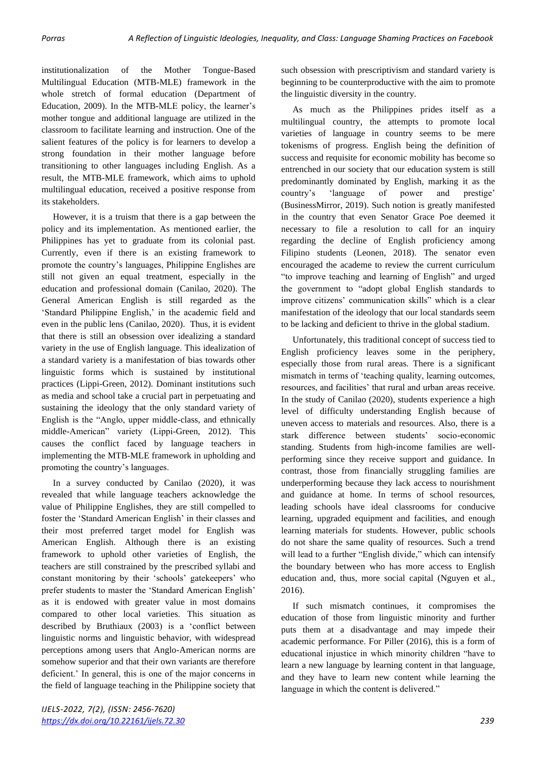institutionalization of the Mother Tongue-Based Multilingual Education (MTB-MLE) framework in the whole stretch of formal education (Department of Education, 2009). In the MTB-MLE policy, the learner's mother tongue and additional language are utilized in the classroom to facilitate learning and instruction. One of the salient features of the policy is for learners to develop a strong foundation in their mother language before transitioning to other languages including English. As a result, the MTB-MLE framework, which aims to uphold multilingual education, received a positive response from its stakeholders.

 However, it is a truism that there is a gap between the policy and its implementation. As mentioned earlier, the Philippines has yet to graduate from its colonial past. Currently, even if there is an existing framework to promote the country's languages, Philippine Englishes are still not given an equal treatment, especially in the education and professional domain (Canilao, 2020). The General American English is still regarded as the 'Standard Philippine English,' in the academic field and even in the public lens (Canilao, 2020). Thus, it is evident that there is still an obsession over idealizing a standard variety in the use of English language. This idealization of a standard variety is a manifestation of bias towards other linguistic forms which is sustained by institutional practices (Lippi-Green, 2012). Dominant institutions such as media and school take a crucial part in perpetuating and sustaining the ideology that the only standard variety of English is the "Anglo, upper middle-class, and ethnically middle-American" variety (Lippi-Green, 2012). This causes the conflict faced by language teachers in implementing the MTB-MLE framework in upholding and promoting the country's languages.

 In a survey conducted by Canilao (2020), it was revealed that while language teachers acknowledge the value of Philippine Englishes, they are still compelled to foster the 'Standard American English' in their classes and their most preferred target model for English was American English. Although there is an existing framework to uphold other varieties of English, the teachers are still constrained by the prescribed syllabi and constant monitoring by their 'schools' gatekeepers' who prefer students to master the 'Standard American English' as it is endowed with greater value in most domains compared to other local varieties. This situation as described by Bruthiaux (2003) is a 'conflict between linguistic norms and linguistic behavior, with widespread perceptions among users that Anglo-American norms are somehow superior and that their own variants are therefore deficient.' In general, this is one of the major concerns in the field of language teaching in the Philippine society that such obsession with prescriptivism and standard variety is beginning to be counterproductive with the aim to promote the linguistic diversity in the country.

 As much as the Philippines prides itself as a multilingual country, the attempts to promote local varieties of language in country seems to be mere tokenisms of progress. English being the definition of success and requisite for economic mobility has become so entrenched in our society that our education system is still predominantly dominated by English, marking it as the country's 'language of power and prestige' (BusinessMirror, 2019). Such notion is greatly manifested in the country that even Senator Grace Poe deemed it necessary to file a resolution to call for an inquiry regarding the decline of English proficiency among Filipino students (Leonen, 2018). The senator even encouraged the academe to review the current curriculum "to improve teaching and learning of English" and urged the government to "adopt global English standards to improve citizens' communication skills" which is a clear manifestation of the ideology that our local standards seem to be lacking and deficient to thrive in the global stadium.

 Unfortunately, this traditional concept of success tied to English proficiency leaves some in the periphery, especially those from rural areas. There is a significant mismatch in terms of 'teaching quality, learning outcomes, resources, and facilities' that rural and urban areas receive. In the study of Canilao (2020), students experience a high level of difficulty understanding English because of uneven access to materials and resources. Also, there is a stark difference between students' socio-economic standing. Students from high-income families are wellperforming since they receive support and guidance. In contrast, those from financially struggling families are underperforming because they lack access to nourishment and guidance at home. In terms of school resources, leading schools have ideal classrooms for conducive learning, upgraded equipment and facilities, and enough learning materials for students. However, public schools do not share the same quality of resources. Such a trend will lead to a further "English divide," which can intensify the boundary between who has more access to English education and, thus, more social capital (Nguyen et al., 2016).

 If such mismatch continues, it compromises the education of those from linguistic minority and further puts them at a disadvantage and may impede their academic performance. For Piller (2016), this is a form of educational injustice in which minority children "have to learn a new language by learning content in that language, and they have to learn new content while learning the language in which the content is delivered."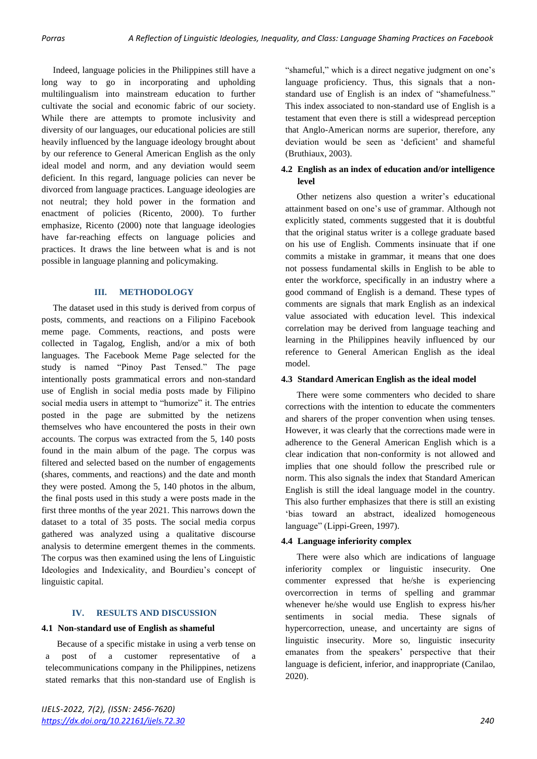Indeed, language policies in the Philippines still have a long way to go in incorporating and upholding multilingualism into mainstream education to further cultivate the social and economic fabric of our society. While there are attempts to promote inclusivity and diversity of our languages, our educational policies are still heavily influenced by the language ideology brought about by our reference to General American English as the only ideal model and norm, and any deviation would seem deficient. In this regard, language policies can never be divorced from language practices. Language ideologies are not neutral; they hold power in the formation and enactment of policies (Ricento, 2000). To further emphasize, Ricento (2000) note that language ideologies have far-reaching effects on language policies and practices. It draws the line between what is and is not possible in language planning and policymaking.

## **III. METHODOLOGY**

 The dataset used in this study is derived from corpus of posts, comments, and reactions on a Filipino Facebook meme page. Comments, reactions, and posts were collected in Tagalog, English, and/or a mix of both languages. The Facebook Meme Page selected for the study is named "Pinoy Past Tensed." The page intentionally posts grammatical errors and non-standard use of English in social media posts made by Filipino social media users in attempt to "humorize" it. The entries posted in the page are submitted by the netizens themselves who have encountered the posts in their own accounts. The corpus was extracted from the 5, 140 posts found in the main album of the page. The corpus was filtered and selected based on the number of engagements (shares, comments, and reactions) and the date and month they were posted. Among the 5, 140 photos in the album, the final posts used in this study a were posts made in the first three months of the year 2021. This narrows down the dataset to a total of 35 posts. The social media corpus gathered was analyzed using a qualitative discourse analysis to determine emergent themes in the comments. The corpus was then examined using the lens of Linguistic Ideologies and Indexicality, and Bourdieu's concept of linguistic capital.

## **IV. RESULTS AND DISCUSSION**

# **4.1 Non-standard use of English as shameful**

 Because of a specific mistake in using a verb tense on a post of a customer representative of a telecommunications company in the Philippines, netizens stated remarks that this non-standard use of English is

"shameful," which is a direct negative judgment on one's language proficiency. Thus, this signals that a nonstandard use of English is an index of "shamefulness." This index associated to non-standard use of English is a testament that even there is still a widespread perception that Anglo-American norms are superior, therefore, any deviation would be seen as 'deficient' and shameful (Bruthiaux, 2003).

## **4.2 English as an index of education and/or intelligence level**

 Other netizens also question a writer's educational attainment based on one's use of grammar. Although not explicitly stated, comments suggested that it is doubtful that the original status writer is a college graduate based on his use of English. Comments insinuate that if one commits a mistake in grammar, it means that one does not possess fundamental skills in English to be able to enter the workforce, specifically in an industry where a good command of English is a demand. These types of comments are signals that mark English as an indexical value associated with education level. This indexical correlation may be derived from language teaching and learning in the Philippines heavily influenced by our reference to General American English as the ideal model.

#### **4.3 Standard American English as the ideal model**

 There were some commenters who decided to share corrections with the intention to educate the commenters and sharers of the proper convention when using tenses. However, it was clearly that the corrections made were in adherence to the General American English which is a clear indication that non-conformity is not allowed and implies that one should follow the prescribed rule or norm. This also signals the index that Standard American English is still the ideal language model in the country. This also further emphasizes that there is still an existing 'bias toward an abstract, idealized homogeneous language" (Lippi-Green, 1997).

## **4.4 Language inferiority complex**

 There were also which are indications of language inferiority complex or linguistic insecurity. One commenter expressed that he/she is experiencing overcorrection in terms of spelling and grammar whenever he/she would use English to express his/her sentiments in social media. These signals of hypercorrection, unease, and uncertainty are signs of linguistic insecurity. More so, linguistic insecurity emanates from the speakers' perspective that their language is deficient, inferior, and inappropriate (Canilao, 2020).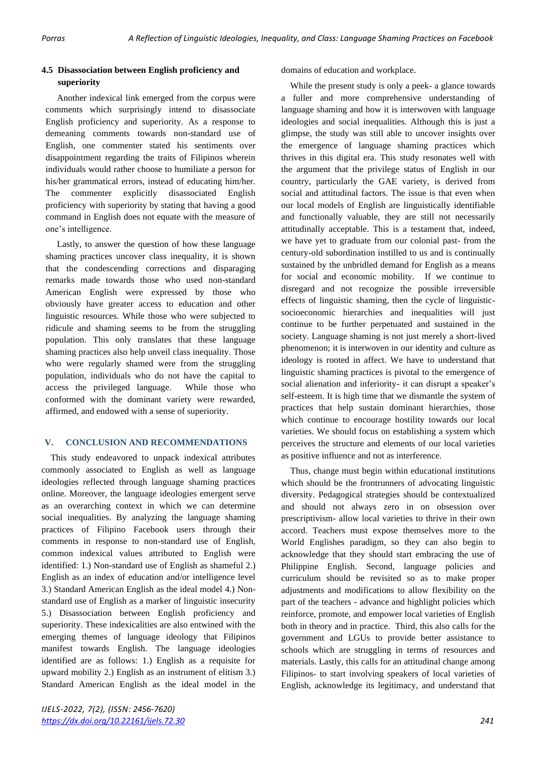# **4.5 Disassociation between English proficiency and superiority**

 Another indexical link emerged from the corpus were comments which surprisingly intend to disassociate English proficiency and superiority. As a response to demeaning comments towards non-standard use of English, one commenter stated his sentiments over disappointment regarding the traits of Filipinos wherein individuals would rather choose to humiliate a person for his/her grammatical errors, instead of educating him/her. The commenter explicitly disassociated English proficiency with superiority by stating that having a good command in English does not equate with the measure of one's intelligence.

 Lastly, to answer the question of how these language shaming practices uncover class inequality, it is shown that the condescending corrections and disparaging remarks made towards those who used non-standard American English were expressed by those who obviously have greater access to education and other linguistic resources. While those who were subjected to ridicule and shaming seems to be from the struggling population. This only translates that these language shaming practices also help unveil class inequality. Those who were regularly shamed were from the struggling population, individuals who do not have the capital to access the privileged language. While those who conformed with the dominant variety were rewarded, affirmed, and endowed with a sense of superiority.

## **V. CONCLUSION AND RECOMMENDATIONS**

This study endeavored to unpack indexical attributes commonly associated to English as well as language ideologies reflected through language shaming practices online. Moreover, the language ideologies emergent serve as an overarching context in which we can determine social inequalities. By analyzing the language shaming practices of Filipino Facebook users through their comments in response to non-standard use of English, common indexical values attributed to English were identified: 1.) Non-standard use of English as shameful 2.) English as an index of education and/or intelligence level 3.) Standard American English as the ideal model 4.) Nonstandard use of English as a marker of linguistic insecurity 5.) Disassociation between English proficiency and superiority. These indexicalities are also entwined with the emerging themes of language ideology that Filipinos manifest towards English. The language ideologies identified are as follows: 1.) English as a requisite for upward mobility 2.) English as an instrument of elitism 3.) Standard American English as the ideal model in the

domains of education and workplace.

While the present study is only a peek- a glance towards a fuller and more comprehensive understanding of language shaming and how it is interwoven with language ideologies and social inequalities. Although this is just a glimpse, the study was still able to uncover insights over the emergence of language shaming practices which thrives in this digital era. This study resonates well with the argument that the privilege status of English in our country, particularly the GAE variety, is derived from social and attitudinal factors. The issue is that even when our local models of English are linguistically identifiable and functionally valuable, they are still not necessarily attitudinally acceptable. This is a testament that, indeed, we have yet to graduate from our colonial past- from the century-old subordination instilled to us and is continually sustained by the unbridled demand for English as a means for social and economic mobility. If we continue to disregard and not recognize the possible irreversible effects of linguistic shaming, then the cycle of linguisticsocioeconomic hierarchies and inequalities will just continue to be further perpetuated and sustained in the society. Language shaming is not just merely a short-lived phenomenon; it is interwoven in our identity and culture as ideology is rooted in affect. We have to understand that linguistic shaming practices is pivotal to the emergence of social alienation and inferiority- it can disrupt a speaker's self-esteem. It is high time that we dismantle the system of practices that help sustain dominant hierarchies, those which continue to encourage hostility towards our local varieties. We should focus on establishing a system which perceives the structure and elements of our local varieties as positive influence and not as interference.

Thus, change must begin within educational institutions which should be the frontrunners of advocating linguistic diversity. Pedagogical strategies should be contextualized and should not always zero in on obsession over prescriptivism- allow local varieties to thrive in their own accord. Teachers must expose themselves more to the World Englishes paradigm, so they can also begin to acknowledge that they should start embracing the use of Philippine English. Second, language policies and curriculum should be revisited so as to make proper adjustments and modifications to allow flexibility on the part of the teachers - advance and highlight policies which reinforce, promote, and empower local varieties of English both in theory and in practice. Third, this also calls for the government and LGUs to provide better assistance to schools which are struggling in terms of resources and materials. Lastly, this calls for an attitudinal change among Filipinos- to start involving speakers of local varieties of English, acknowledge its legitimacy, and understand that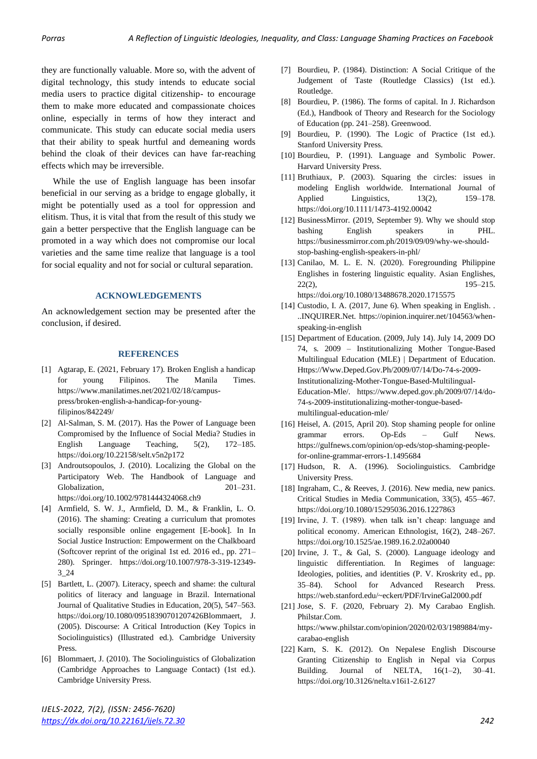they are functionally valuable. More so, with the advent of digital technology, this study intends to educate social media users to practice digital citizenship- to encourage them to make more educated and compassionate choices online, especially in terms of how they interact and communicate. This study can educate social media users that their ability to speak hurtful and demeaning words behind the cloak of their devices can have far-reaching effects which may be irreversible.

 While the use of English language has been insofar beneficial in our serving as a bridge to engage globally, it might be potentially used as a tool for oppression and elitism. Thus, it is vital that from the result of this study we gain a better perspective that the English language can be promoted in a way which does not compromise our local varieties and the same time realize that language is a tool for social equality and not for social or cultural separation.

#### **ACKNOWLEDGEMENTS**

An acknowledgement section may be presented after the conclusion, if desired.

#### **REFERENCES**

- [1] Agtarap, E. (2021, February 17). Broken English a handicap for young Filipinos. The Manila Times. https://www.manilatimes.net/2021/02/18/campuspress/broken-english-a-handicap-for-youngfilipinos/842249/
- [2] Al-Salman, S. M. (2017). Has the Power of Language been Compromised by the Influence of Social Media? Studies in English Language Teaching, 5(2), 172–185. https://doi.org/10.22158/selt.v5n2p172
- [3] Androutsopoulos, J. (2010). Localizing the Global on the Participatory Web. The Handbook of Language and Globalization, 201–231. https://doi.org/10.1002/9781444324068.ch9
- [4] Armfield, S. W. J., Armfield, D. M., & Franklin, L. O. (2016). The shaming: Creating a curriculum that promotes socially responsible online engagement [E-book]. In In Social Justice Instruction: Empowerment on the Chalkboard (Softcover reprint of the original 1st ed. 2016 ed., pp. 271– 280). Springer. https://doi.org/10.1007/978-3-319-12349- 3\_24
- [5] Bartlett, L. (2007). Literacy, speech and shame: the cultural politics of literacy and language in Brazil. International Journal of Qualitative Studies in Education, 20(5), 547–563. https://doi.org/10.1080/09518390701207426Blommaert, J. (2005). Discourse: A Critical Introduction (Key Topics in Sociolinguistics) (Illustrated ed.). Cambridge University Press.
- [6] Blommaert, J. (2010). The Sociolinguistics of Globalization (Cambridge Approaches to Language Contact) (1st ed.). Cambridge University Press.
- [7] Bourdieu, P. (1984). Distinction: A Social Critique of the Judgement of Taste (Routledge Classics) (1st ed.). Routledge.
- [8] Bourdieu, P. (1986). The forms of capital. In J. Richardson (Ed.), Handbook of Theory and Research for the Sociology of Education (pp. 241–258). Greenwood.
- [9] Bourdieu, P. (1990). The Logic of Practice (1st ed.). Stanford University Press.
- [10] Bourdieu, P. (1991). Language and Symbolic Power. Harvard University Press.
- [11] Bruthiaux, P. (2003). Squaring the circles: issues in modeling English worldwide. International Journal of Applied Linguistics, 13(2), 159–178. https://doi.org/10.1111/1473-4192.00042
- [12] BusinessMirror. (2019, September 9). Why we should stop bashing English speakers in PHL. https://businessmirror.com.ph/2019/09/09/why-we-shouldstop-bashing-english-speakers-in-phl/
- [13] Canilao, M. L. E. N. (2020). Foregrounding Philippine Englishes in fostering linguistic equality. Asian Englishes, 22(2), 195–215. https://doi.org/10.1080/13488678.2020.1715575
- [14] Custodio, I. A. (2017, June 6). When speaking in English. . ..INQUIRER.Net. https://opinion.inquirer.net/104563/whenspeaking-in-english
- [15] Department of Education. (2009, July 14). July 14, 2009 DO 74, s. 2009 – Institutionalizing Mother Tongue-Based Multilingual Education (MLE) | Department of Education. Https://Www.Deped.Gov.Ph/2009/07/14/Do-74-s-2009- Institutionalizing-Mother-Tongue-Based-Multilingual-Education-Mle/. https://www.deped.gov.ph/2009/07/14/do-74-s-2009-institutionalizing-mother-tongue-basedmultilingual-education-mle/
- [16] Heisel, A. (2015, April 20). Stop shaming people for online grammar errors. Op-Eds – Gulf News. https://gulfnews.com/opinion/op-eds/stop-shaming-peoplefor-online-grammar-errors-1.1495684
- [17] Hudson, R. A. (1996). Sociolinguistics. Cambridge University Press.
- [18] Ingraham, C., & Reeves, J. (2016). New media, new panics. Critical Studies in Media Communication, 33(5), 455–467. https://doi.org/10.1080/15295036.2016.1227863
- [19] Irvine, J. T. (1989). when talk isn't cheap: language and political economy. American Ethnologist, 16(2), 248–267. https://doi.org/10.1525/ae.1989.16.2.02a00040
- [20] Irvine, J. T., & Gal, S. (2000). Language ideology and linguistic differentiation. In Regimes of language: Ideologies, polities, and identities (P. V. Kroskrity ed., pp. 35–84). School for Advanced Research Press. https://web.stanford.edu/~eckert/PDF/IrvineGal2000.pdf
- [21] Jose, S. F. (2020, February 2). My Carabao English. Philstar.Com. https://www.philstar.com/opinion/2020/02/03/1989884/mycarabao-english
- [22] Karn, S. K. (2012). On Nepalese English Discourse Granting Citizenship to English in Nepal via Corpus Building. Journal of NELTA,  $16(1-2)$ ,  $30-41$ . https://doi.org/10.3126/nelta.v16i1-2.6127